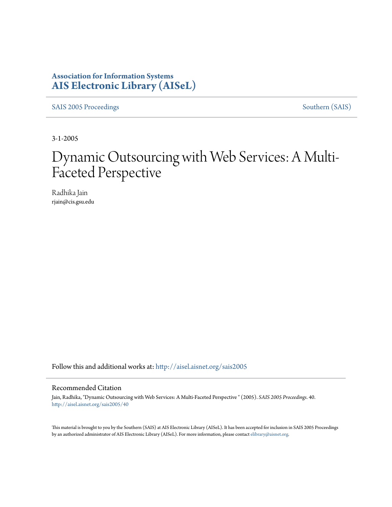# **Association for Information Systems [AIS Electronic Library \(AISeL\)](http://aisel.aisnet.org?utm_source=aisel.aisnet.org%2Fsais2005%2F40&utm_medium=PDF&utm_campaign=PDFCoverPages)**

[SAIS 2005 Proceedings](http://aisel.aisnet.org/sais2005?utm_source=aisel.aisnet.org%2Fsais2005%2F40&utm_medium=PDF&utm_campaign=PDFCoverPages) [Southern \(SAIS\)](http://aisel.aisnet.org/sais?utm_source=aisel.aisnet.org%2Fsais2005%2F40&utm_medium=PDF&utm_campaign=PDFCoverPages)

3-1-2005

# Dynamic Outsourcing with Web Services: A Multi-Faceted Perspective

Radhika Jain rjain@cis.gsu.edu

Follow this and additional works at: [http://aisel.aisnet.org/sais2005](http://aisel.aisnet.org/sais2005?utm_source=aisel.aisnet.org%2Fsais2005%2F40&utm_medium=PDF&utm_campaign=PDFCoverPages)

#### Recommended Citation

Jain, Radhika, "Dynamic Outsourcing with Web Services: A Multi-Faceted Perspective " (2005). *SAIS 2005 Proceedings*. 40. [http://aisel.aisnet.org/sais2005/40](http://aisel.aisnet.org/sais2005/40?utm_source=aisel.aisnet.org%2Fsais2005%2F40&utm_medium=PDF&utm_campaign=PDFCoverPages)

This material is brought to you by the Southern (SAIS) at AIS Electronic Library (AISeL). It has been accepted for inclusion in SAIS 2005 Proceedings by an authorized administrator of AIS Electronic Library (AISeL). For more information, please contact [elibrary@aisnet.org](mailto:elibrary@aisnet.org%3E).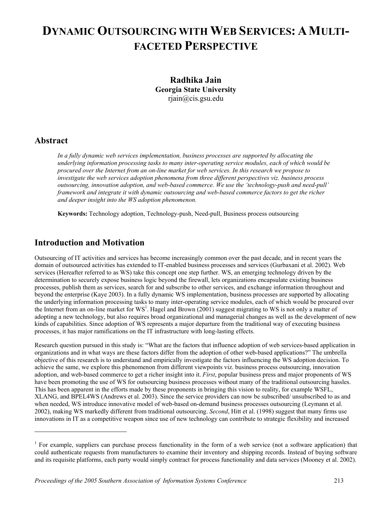# **DYNAMIC OUTSOURCING WITH WEB SERVICES: A MULTI-FACETED PERSPECTIVE**

**Radhika Jain Georgia State University**  rjain@cis.gsu.edu

## **Abstract**

-

*In a fully dynamic web services implementation, business processes are supported by allocating the underlying information processing tasks to many inter-operating service modules, each of which would be procured over the Internet from an on-line market for web services. In this research we propose to investigate the web services adoption phenomena from three different perspectives viz. business process outsourcing, innovation adoption, and web-based commerce. We use the 'technology-push and need-pull' framework and integrate it with dynamic outsourcing and web-based commerce factors to get the richer and deeper insight into the WS adoption phenomenon.* 

**Keywords:** Technology adoption, Technology-push, Need-pull, Business process outsourcing

# **Introduction and Motivation**

Outsourcing of IT activities and services has become increasingly common over the past decade, and in recent years the domain of outsourced activities has extended to IT-enabled business processes and services (Gurbaxani et al. 2002). Web services (Hereafter referred to as WS) take this concept one step further. WS, an emerging technology driven by the determination to securely expose business logic beyond the firewall, lets organizations encapsulate existing business processes, publish them as services, search for and subscribe to other services, and exchange information throughout and beyond the enterprise (Kaye 2003). In a fully dynamic WS implementation, business processes are supported by allocating the underlying information processing tasks to many inter-operating service modules, each of which would be procured over the Internet from an on-line market for  $WS<sup>1</sup>$  $WS<sup>1</sup>$  $WS<sup>1</sup>$ . Hagel and Brown (2001) suggest migrating to WS is not only a matter of adopting a new technology, but also requires broad organizational and managerial changes as well as the development of new kinds of capabilities. Since adoption of WS represents a major departure from the traditional way of executing business processes, it has major ramifications on the IT infrastructure with long-lasting effects.

Research question pursued in this study is: "What are the factors that influence adoption of web services-based application in organizations and in what ways are these factors differ from the adoption of other web-based applications?" The umbrella objective of this research is to understand and empirically investigate the factors influencing the WS adoption decision. To achieve the same, we explore this phenomenon from different viewpoints viz. business process outsourcing, innovation adoption, and web-based commerce to get a richer insight into it. *First*, popular business press and major proponents of WS have been promoting the use of WS for outsourcing business processes without many of the traditional outsourcing hassles. This has been apparent in the efforts made by these proponents in bringing this vision to reality, for example WSFL, XLANG, and BPEL4WS (Andrews et al. 2003). Since the service providers can now be subscribed/ unsubscribed to as and when needed, WS introduce innovative model of web-based on-demand business processes outsourcing (Leymann et al. 2002), making WS markedly different from traditional outsourcing. *Second*, Hitt et al. (1998) suggest that many firms use innovations in IT as a competitive weapon since use of new technology can contribute to strategic flexibility and increased

<span id="page-1-0"></span><sup>&</sup>lt;sup>1</sup> For example, suppliers can purchase process functionality in the form of a web service (not a software application) that could authenticate requests from manufacturers to examine their inventory and shipping records. Instead of buying software and its requisite platforms, each party would simply contract for process functionality and data services (Mooney et al. 2002).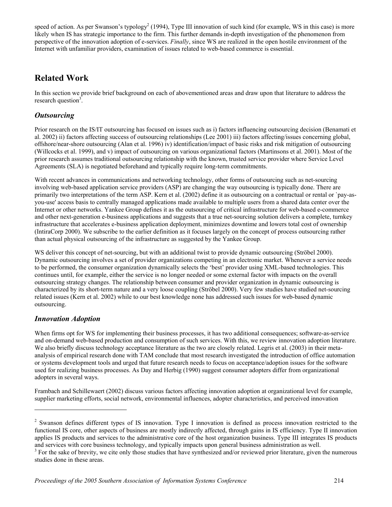speed of action. As per Swanson's typology<sup>[2](#page-2-0)</sup> (1994), Type III innovation of such kind (for example, WS in this case) is more likely when IS has strategic importance to the firm. This further demands in-depth investigation of the phenomenon from perspective of the innovation adoption of e-services. *Finally*, since WS are realized in the open hostile environment of the Internet with unfamiliar providers, examination of issues related to web-based commerce is essential.

# **Related Work**

In this section we provide brief background on each of abovementioned areas and draw upon that literature to address the research question<sup>[3](#page-2-1)</sup>.

## *Outsourcing*

Prior research on the IS/IT outsourcing has focused on issues such as i) factors influencing outsourcing decision (Benamati et al. 2002) ii) factors affecting success of outsourcing relationships (Lee 2001) iii) factors affecting/issues concerning global, offshore/near-shore outsourcing (Alan et al. 1996) iv) identification/impact of basic risks and risk mitigation of outsourcing (Willcocks et al. 1999), and v) impact of outsourcing on various organizational factors (Martinsons et al. 2001). Most of the prior research assumes traditional outsourcing relationship with the known, trusted service provider where Service Level Agreements (SLA) is negotiated beforehand and typically require long-term commitments.

With recent advances in communications and networking technology, other forms of outsourcing such as net-sourcing involving web-based application service providers (ASP) are changing the way outsourcing is typically done. There are primarily two interpretations of the term ASP. Kern et al. (2002) define it as outsourcing on a contractual or rental or `pay-asyou-use' access basis to centrally managed applications made available to multiple users from a shared data center over the Internet or other networks. Yankee Group defines it as the outsourcing of critical infrastructure for web-based e-commerce and other next-generation e-business applications and suggests that a true net-sourcing solution delivers a complete, turnkey infrastructure that accelerates e-business application deployment, minimizes downtime and lowers total cost of ownership (IntiraCorp 2000). We subscribe to the earlier definition as it focuses largely on the concept of process outsourcing rather than actual physical outsourcing of the infrastructure as suggested by the Yankee Group.

WS deliver this concept of net-sourcing, but with an additional twist to provide dynamic outsourcing (Ströbel 2000). Dynamic outsourcing involves a set of provider organizations competing in an electronic market. Whenever a service needs to be performed, the consumer organization dynamically selects the 'best' provider using XML-based technologies. This continues until, for example, either the service is no longer needed or some external factor with impacts on the overall outsourcing strategy changes. The relationship between consumer and provider organization in dynamic outsourcing is characterized by its short-term nature and a very loose coupling (Ströbel 2000). Very few studies have studied net-sourcing related issues (Kern et al. 2002) while to our best knowledge none has addressed such issues for web-based dynamic outsourcing.

## *Innovation Adoption*

 $\overline{\phantom{a}}$ 

When firms opt for WS for implementing their business processes, it has two additional consequences; software-as-service and on-demand web-based production and consumption of such services. With this, we review innovation adoption literature. We also briefly discuss technology acceptance literature as the two are closely related. Legris et al. (2003) in their metaanalysis of empirical research done with TAM conclude that most research investigated the introduction of office automation or systems development tools and urged that future research needs to focus on acceptance/adoption issues for the software used for realizing business processes. As Day and Herbig (1990) suggest consumer adopters differ from organizational adopters in several ways.

Frambach and Schillewaert (2002) discuss various factors affecting innovation adoption at organizational level for example, supplier marketing efforts, social network, environmental influences, adopter characteristics, and perceived innovation

<span id="page-2-0"></span> $2$  Swanson defines different types of IS innovation. Type I innovation is defined as process innovation restricted to the functional IS core, other aspects of business are mostly indirectly affected, through gains in IS efficiency. Type II innovation applies IS products and services to the administrative core of the host organization business. Type III integrates IS products and services with core business technology, and typically impacts upon general business administration as well.

<span id="page-2-1"></span><sup>&</sup>lt;sup>3</sup> For the sake of brevity, we cite only those studies that have synthesized and/or reviewed prior literature, given the numerous studies done in these areas.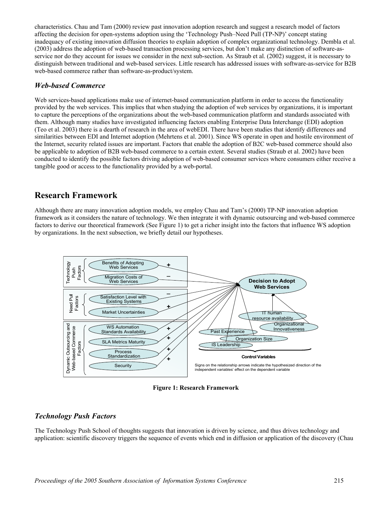characteristics. Chau and Tam (2000) review past innovation adoption research and suggest a research model of factors affecting the decision for open-systems adoption using the 'Technology Push–Need Pull (TP-NP)' concept stating inadequacy of existing innovation diffusion theories to explain adoption of complex organizational technology. Dembla et al. (2003) address the adoption of web-based transaction processing services, but don't make any distinction of software-asservice nor do they account for issues we consider in the next sub-section. As Straub et al. (2002) suggest, it is necessary to distinguish between traditional and web-based services. Little research has addressed issues with software-as-service for B2B web-based commerce rather than software-as-product/system.

#### *Web-based Commerce*

Web services-based applications make use of internet-based communication platform in order to access the functionality provided by the web services. This implies that when studying the adoption of web services by organizations, it is important to capture the perceptions of the organizations about the web-based communication platform and standards associated with them. Although many studies have investigated influencing factors enabling Enterprise Data Interchange (EDI) adoption (Teo et al. 2003) there is a dearth of research in the area of webEDI. There have been studies that identify differences and similarities between EDI and Internet adoption (Mehrtens et al. 2001). Since WS operate in open and hostile environment of the Internet, security related issues are important. Factors that enable the adoption of B2C web-based commerce should also be applicable to adoption of B2B web-based commerce to a certain extent. Several studies (Straub et al. 2002) have been conducted to identify the possible factors driving adoption of web-based consumer services where consumers either receive a tangible good or access to the functionality provided by a web-portal.

## **Research Framework**

factors to derive our theoretical framework (See F[igure](#page-3-0) 1) to get a richer insight into the factors that influence WS adoption Although there are many innovation adoption models, we employ Chau and Tam's (2000) TP-NP innovation adoption framework as it considers the nature of technology. We then integrate it with dynamic outsourcing and web-based commerce by organizations. In the next subsection, we briefly detail our hypotheses.

<span id="page-3-0"></span>

**Figure 1: Research Framework** 

## *Technology Push Factors*

The Technology Push School of thoughts suggests that innovation is driven by science, and thus drives technology and application: scientific discovery triggers the sequence of events which end in diffusion or application of the discovery (Chau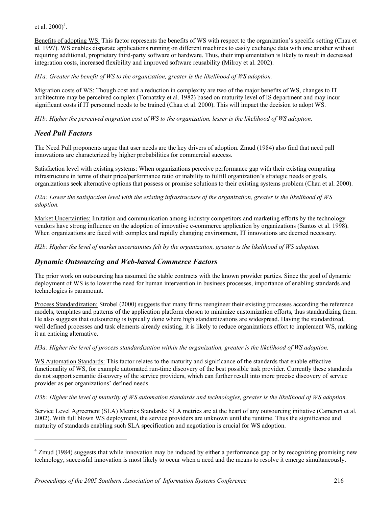et al.  $2000)^4$  $2000)^4$ .

Benefits of adopting WS: This factor represents the benefits of WS with respect to the organization's specific setting (Chau et al. 1997). WS enables disparate applications running on different machines to easily exchange data with one another without requiring additional, proprietary third-party software or hardware. Thus, their implementation is likely to result in decreased integration costs, increased flexibility and improved software reusability (Milroy et al. 2002).

*H1a: Greater the benefit of WS to the organization, greater is the likelihood of WS adoption.* 

Migration costs of WS: Though cost and a reduction in complexity are two of the major benefits of WS, changes to IT architecture may be perceived complex (Tornatzky et al. 1982) based on maturity level of IS department and may incur significant costs if IT personnel needs to be trained (Chau et al. 2000). This will impact the decision to adopt WS.

*H1b: Higher the perceived migration cost of WS to the organization, lesser is the likelihood of WS adoption.* 

#### *Need Pull Factors*

-

The Need Pull proponents argue that user needs are the key drivers of adoption. Zmud (1984) also find that need pull innovations are characterized by higher probabilities for commercial success.

Satisfaction level with existing systems: When organizations perceive performance gap with their existing computing infrastructure in terms of their price/performance ratio or inability to fulfill organization's strategic needs or goals, organizations seek alternative options that possess or promise solutions to their existing systems problem (Chau et al. 2000).

*H2a: Lower the satisfaction level with the existing infrastructure of the organization, greater is the likelihood of WS adoption.* 

Market Uncertainties: Imitation and communication among industry competitors and marketing efforts by the technology vendors have strong influence on the adoption of innovative e-commerce application by organizations (Santos et al. 1998). When organizations are faced with complex and rapidly changing environment, IT innovations are deemed necessary.

*H2b: Higher the level of market uncertainties felt by the organization, greater is the likelihood of WS adoption.* 

#### *Dynamic Outsourcing and Web-based Commerce Factors*

The prior work on outsourcing has assumed the stable contracts with the known provider parties. Since the goal of dynamic deployment of WS is to lower the need for human intervention in business processes, importance of enabling standards and technologies is paramount.

Process Standardization: Strobel (2000) suggests that many firms reengineer their existing processes according the reference models, templates and patterns of the application platform chosen to minimize customization efforts, thus standardizing them. He also suggests that outsourcing is typically done where high standardizations are widespread. Having the standardized, well defined processes and task elements already existing, it is likely to reduce organizations effort to implement WS, making it an enticing alternative.

#### *H3a: Higher the level of process standardization within the organization, greater is the likelihood of WS adoption.*

WS Automation Standards: This factor relates to the maturity and significance of the standards that enable effective functionality of WS, for example automated run-time discovery of the best possible task provider. Currently these standards do not support semantic discovery of the service providers, which can further result into more precise discovery of service provider as per organizations' defined needs.

#### *H3b: Higher the level of maturity of WS automation standards and technologies, greater is the likelihood of WS adoption.*

Service Level Agreement (SLA) Metrics Standards: SLA metrics are at the heart of any outsourcing initiative (Cameron et al. 2002). With full blown WS deployment, the service providers are unknown until the runtime. Thus the significance and maturity of standards enabling such SLA specification and negotiation is crucial for WS adoption.

<span id="page-4-0"></span><sup>&</sup>lt;sup>4</sup> Zmud (1984) suggests that while innovation may be induced by either a performance gap or by recognizing promising new technology, successful innovation is most likely to occur when a need and the means to resolve it emerge simultaneously.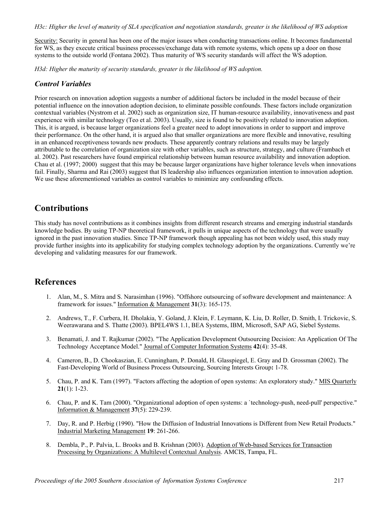*H3c: Higher the level of maturity of SLA specification and negotiation standards, greater is the likelihood of WS adoption* 

Security: Security in general has been one of the major issues when conducting transactions online. It becomes fundamental for WS, as they execute critical business processes/exchange data with remote systems, which opens up a door on those systems to the outside world (Fontana 2002). Thus maturity of WS security standards will affect the WS adoption.

*H3d: Higher the maturity of security standards, greater is the likelihood of WS adoption.*

#### *Control Variables*

Prior research on innovation adoption suggests a number of additional factors be included in the model because of their potential influence on the innovation adoption decision, to eliminate possible confounds. These factors include organization contextual variables (Nystrom et al. 2002) such as organization size, IT human-resource availability, innovativeness and past experience with similar technology (Teo et al. 2003). Usually, size is found to be positively related to innovation adoption. This, it is argued, is because larger organizations feel a greater need to adopt innovations in order to support and improve their performance. On the other hand, it is argued also that smaller organizations are more flexible and innovative, resulting in an enhanced receptiveness towards new products. These apparently contrary relations and results may be largely attributable to the correlation of organization size with other variables, such as structure, strategy, and culture (Frambach et al. 2002). Past researchers have found empirical relationship between human resource availability and innovation adoption. Chau et al. (1997; 2000) suggest that this may be because larger organizations have higher tolerance levels when innovations fail. Finally, Sharma and Rai (2003) suggest that IS leadership also influences organization intention to innovation adoption. We use these aforementioned variables as control variables to minimize any confounding effects.

## **Contributions**

This study has novel contributions as it combines insights from different research streams and emerging industrial standards knowledge bodies. By using TP-NP theoretical framework, it pulls in unique aspects of the technology that were usually ignored in the past innovation studies. Since TP-NP framework though appealing has not been widely used, this study may provide further insights into its applicability for studying complex technology adoption by the organizations. Currently we're developing and validating measures for our framework.

## **References**

- 1. Alan, M., S. Mitra and S. Narasimhan (1996). "Offshore outsourcing of software development and maintenance: A framework for issues." Information & Management **31**(3): 165-175.
- 2. Andrews, T., F. Curbera, H. Dholakia, Y. Goland, J. Klein, F. Leymann, K. Liu, D. Roller, D. Smith, I. Trickovic, S. Weerawarana and S. Thatte (2003). BPEL4WS 1.1, BEA Systems, IBM, Microsoft, SAP AG, Siebel Systems.
- 3. Benamati, J. and T. Rajkumar (2002). "The Application Development Outsourcing Decision: An Application Of The Technology Acceptance Model." Journal of Computer Information Systems **42**(4): 35-48.
- 4. Cameron, B., D. Chookaszian, E. Cunningham, P. Donald, H. Glasspiegel, E. Gray and D. Grossman (2002). The Fast-Developing World of Business Process Outsourcing, Sourcing Interests Group**:** 1-78.
- 5. Chau, P. and K. Tam (1997). "Factors affecting the adoption of open systems: An exploratory study." MIS Quarterly **21**(1): 1-23.
- 6. Chau, P. and K. Tam (2000). "Organizational adoption of open systems: a `technology-push, need-pull' perspective." Information & Management **37**(5): 229-239.
- 7. Day, R. and P. Herbig (1990). "How the Diffusion of Industrial Innovations is Different from New Retail Products." Industrial Marketing Management **19**: 261-266.
- 8. Dembla, P., P. Palvia, L. Brooks and B. Krishnan (2003). Adoption of Web-based Services for Transaction Processing by Organizations: A Multilevel Contextual Analysis. AMCIS, Tampa, FL.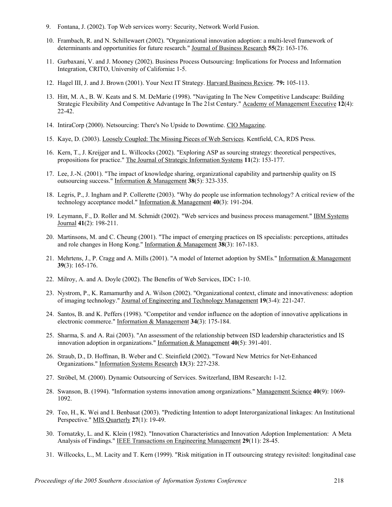- 9. Fontana, J. (2002). Top Web services worry: Security, Network World Fusion.
- 10. Frambach, R. and N. Schillewaert (2002). "Organizational innovation adoption: a multi-level framework of determinants and opportunities for future research." Journal of Business Research **55**(2): 163-176.
- 11. Gurbaxani, V. and J. Mooney (2002). Business Process Outsourcing: Implications for Process and Information Integration, CRITO, University of California**:** 1-5.
- 12. Hagel III, J. and J. Brown (2001). Your Next IT Strategy. Harvard Business Review. **79:** 105-113.
- 13. Hitt, M. A., B. W. Keats and S. M. DeMarie (1998). "Navigating In The New Competitive Landscape: Building Strategic Flexibility And Competitive Advantage In The 21st Century." Academy of Management Executive **12**(4): 22-42.
- 14. IntiraCorp (2000). Netsourcing: There's No Upside to Downtime. CIO Magazine.
- 15. Kaye, D. (2003). Loosely Coupled: The Missing Pieces of Web Services. Kentfield, CA, RDS Press.
- 16. Kern, T., J. Kreijger and L. Willcocks (2002). "Exploring ASP as sourcing strategy: theoretical perspectives, propositions for practice." The Journal of Strategic Information Systems **11**(2): 153-177.
- 17. Lee, J.-N. (2001). "The impact of knowledge sharing, organizational capability and partnership quality on IS outsourcing success." Information & Management **38**(5): 323-335.
- 18. Legris, P., J. Ingham and P. Collerette (2003). "Why do people use information technology? A critical review of the technology acceptance model." Information & Management **40**(3): 191-204.
- 19. Leymann, F., D. Roller and M. Schmidt (2002). "Web services and business process management." IBM Systems Journal **41**(2): 198-211.
- 20. Martinsons, M. and C. Cheung (2001). "The impact of emerging practices on IS specialists: perceptions, attitudes and role changes in Hong Kong." Information & Management **38**(3): 167-183.
- 21. Mehrtens, J., P. Cragg and A. Mills (2001). "A model of Internet adoption by SMEs." Information & Management **39**(3): 165-176.
- 22. Milroy, A. and A. Doyle (2002). The Benefits of Web Services, IDC**:** 1-10.
- 23. Nystrom, P., K. Ramamurthy and A. Wilson (2002). "Organizational context, climate and innovativeness: adoption of imaging technology." Journal of Engineering and Technology Management **19**(3-4): 221-247.
- 24. Santos, B. and K. Peffers (1998). "Competitor and vendor influence on the adoption of innovative applications in electronic commerce." Information & Management **34**(3): 175-184.
- 25. Sharma, S. and A. Rai (2003). "An assessment of the relationship between ISD leadership characteristics and IS innovation adoption in organizations." Information & Management **40**(5): 391-401.
- 26. Straub, D., D. Hoffman, B. Weber and C. Steinfield (2002). "Toward New Metrics for Net-Enhanced Organizations." Information Systems Research **13**(3): 227-238.
- 27. Ströbel, M. (2000). Dynamic Outsourcing of Services. Switzerland, IBM Research**:** 1-12.
- 28. Swanson, B. (1994). "Information systems innovation among organizations." Management Science **40**(9): 1069- 1092.
- 29. Teo, H., K. Wei and I. Benbasat (2003). "Predicting Intention to adopt Interorganizational linkages: An Institutional Perspective." MIS Quarterly **27**(1): 19-49.
- 30. Tornatzky, L. and K. Klein (1982). "Innovation Characteristics and Innovation Adoption Implementation: A Meta Analysis of Findings." IEEE Transactions on Engineering Management **29**(11): 28-45.
- 31. Willcocks, L., M. Lacity and T. Kern (1999). "Risk mitigation in IT outsourcing strategy revisited: longitudinal case